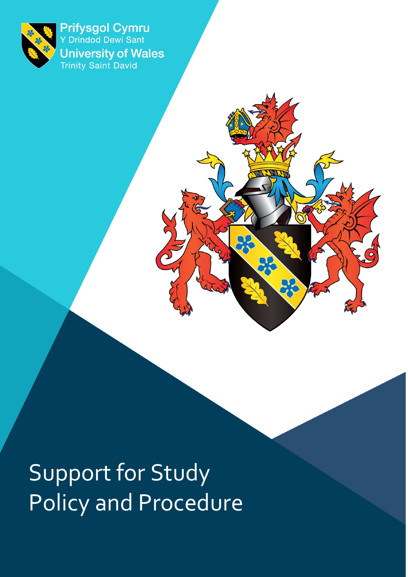

Prifysgol Cymru<br>Y Drindod Dewi Sant **University of Wales**<br>Trinity Saint David

Support for Study Policy and Procedure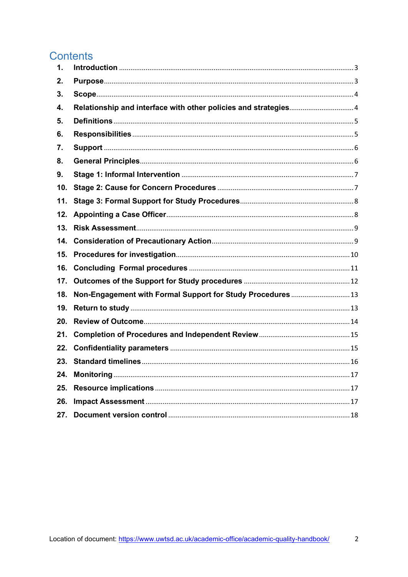### **Contents**

| $\mathbf 1$ . |                                                            |  |
|---------------|------------------------------------------------------------|--|
| 2.            |                                                            |  |
| З.            |                                                            |  |
| 4.            |                                                            |  |
| 5.            |                                                            |  |
| 6.            |                                                            |  |
| 7.            |                                                            |  |
| 8.            |                                                            |  |
| 9.            |                                                            |  |
| 10.           |                                                            |  |
| 11.           |                                                            |  |
| 12.           |                                                            |  |
| 13.           |                                                            |  |
| 14.           |                                                            |  |
| 15.           |                                                            |  |
| 16.           |                                                            |  |
| 17.           |                                                            |  |
| 18.           | Non-Engagement with Formal Support for Study Procedures 13 |  |
| 19.           |                                                            |  |
| 20.           |                                                            |  |
| 21.           |                                                            |  |
| 22.           |                                                            |  |
| 23.           |                                                            |  |
| 24.           |                                                            |  |
| 25.           |                                                            |  |
| 26.           |                                                            |  |
| 27.           |                                                            |  |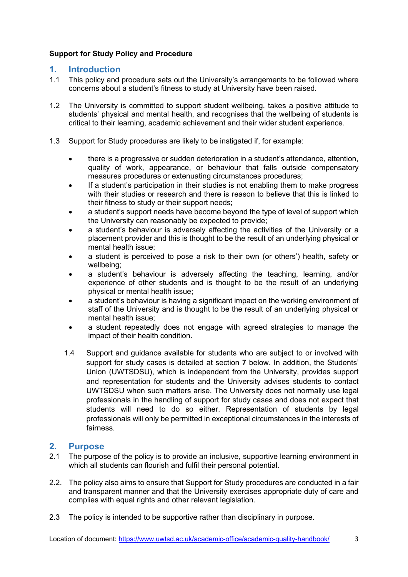#### **Support for Study Policy and Procedure**

#### **1. Introduction**

- 1.1 This policy and procedure sets out the University's arrangements to be followed where concerns about a student's fitness to study at University have been raised.
- 1.2 The University is committed to support student wellbeing, takes a positive attitude to students' physical and mental health, and recognises that the wellbeing of students is critical to their learning, academic achievement and their wider student experience.
- 1.3 Support for Study procedures are likely to be instigated if, for example:
	- there is a progressive or sudden deterioration in a student's attendance, attention, quality of work, appearance, or behaviour that falls outside compensatory measures procedures or extenuating circumstances procedures;
	- If a student's participation in their studies is not enabling them to make progress with their studies or research and there is reason to believe that this is linked to their fitness to study or their support needs;
	- a student's support needs have become beyond the type of level of support which the University can reasonably be expected to provide;
	- a student's behaviour is adversely affecting the activities of the University or a placement provider and this is thought to be the result of an underlying physical or mental health issue;
	- a student is perceived to pose a risk to their own (or others') health, safety or wellbeing;
	- a student's behaviour is adversely affecting the teaching, learning, and/or experience of other students and is thought to be the result of an underlying physical or mental health issue;
	- a student's behaviour is having a significant impact on the working environment of staff of the University and is thought to be the result of an underlying physical or mental health issue;
	- a student repeatedly does not engage with agreed strategies to manage the impact of their health condition.
	- 1.4 Support and guidance available for students who are subject to or involved with support for study cases is detailed at section **7** below. In addition, the Students' Union (UWTSDSU), which is independent from the University, provides support and representation for students and the University advises students to contact UWTSDSU when such matters arise. The University does not normally use legal professionals in the handling of support for study cases and does not expect that students will need to do so either. Representation of students by legal professionals will only be permitted in exceptional circumstances in the interests of fairness.

#### **2. Purpose**

- 2.1 The purpose of the policy is to provide an inclusive, supportive learning environment in which all students can flourish and fulfil their personal potential.
- 2.2. The policy also aims to ensure that Support for Study procedures are conducted in a fair and transparent manner and that the University exercises appropriate duty of care and complies with equal rights and other relevant legislation.
- 2.3 The policy is intended to be supportive rather than disciplinary in purpose.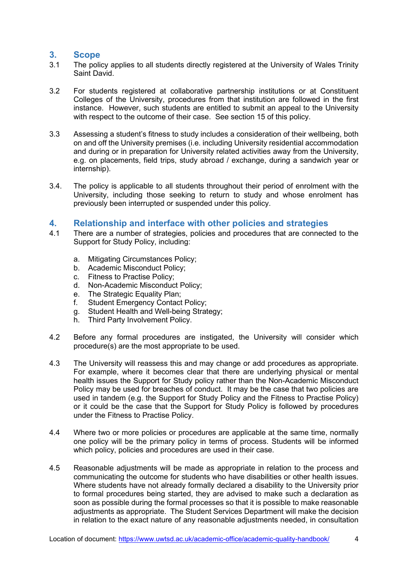#### **3. Scope**

- 3.1 The policy applies to all students directly registered at the University of Wales Trinity Saint David.
- 3.2 For students registered at collaborative partnership institutions or at Constituent Colleges of the University, procedures from that institution are followed in the first instance. However, such students are entitled to submit an appeal to the University with respect to the outcome of their case. See section 15 of this policy.
- 3.3 Assessing a student's fitness to study includes a consideration of their wellbeing, both on and off the University premises (i.e. including University residential accommodation and during or in preparation for University related activities away from the University, e.g. on placements, field trips, study abroad / exchange, during a sandwich year or internship).
- 3.4. The policy is applicable to all students throughout their period of enrolment with the University, including those seeking to return to study and whose enrolment has previously been interrupted or suspended under this policy.

#### **4. Relationship and interface with other policies and strategies**

- 4.1 There are a number of strategies, policies and procedures that are connected to the Support for Study Policy, including:
	- a. Mitigating Circumstances Policy;
	- b. Academic Misconduct Policy;
	- c. Fitness to Practise Policy;
	- d. Non-Academic Misconduct Policy;
	- e. The Strategic Equality Plan;
	- f. Student Emergency Contact Policy;
	- g. Student Health and Well-being Strategy;
	- h. Third Party Involvement Policy.
- 4.2 Before any formal procedures are instigated, the University will consider which procedure(s) are the most appropriate to be used.
- 4.3 The University will reassess this and may change or add procedures as appropriate. For example, where it becomes clear that there are underlying physical or mental health issues the Support for Study policy rather than the Non-Academic Misconduct Policy may be used for breaches of conduct. It may be the case that two policies are used in tandem (e.g. the Support for Study Policy and the Fitness to Practise Policy) or it could be the case that the Support for Study Policy is followed by procedures under the Fitness to Practise Policy.
- 4.4 Where two or more policies or procedures are applicable at the same time, normally one policy will be the primary policy in terms of process. Students will be informed which policy, policies and procedures are used in their case.
- 4.5 Reasonable adjustments will be made as appropriate in relation to the process and communicating the outcome for students who have disabilities or other health issues. Where students have not already formally declared a disability to the University prior to formal procedures being started, they are advised to make such a declaration as soon as possible during the formal processes so that it is possible to make reasonable adjustments as appropriate. The Student Services Department will make the decision in relation to the exact nature of any reasonable adjustments needed, in consultation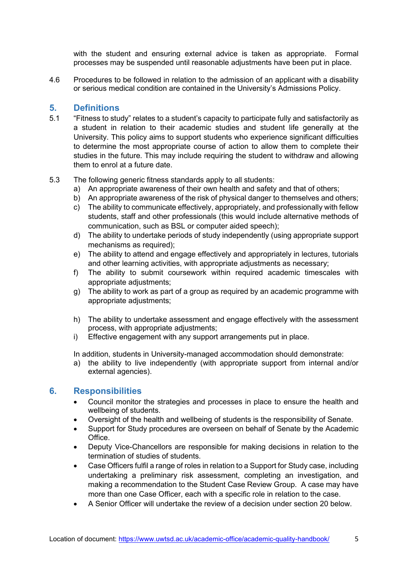with the student and ensuring external advice is taken as appropriate. Formal processes may be suspended until reasonable adjustments have been put in place.

4.6 Procedures to be followed in relation to the admission of an applicant with a disability or serious medical condition are contained in the University's Admissions Policy.

#### **5. Definitions**

- 5.1 "Fitness to study" relates to a student's capacity to participate fully and satisfactorily as a student in relation to their academic studies and student life generally at the University. This policy aims to support students who experience significant difficulties to determine the most appropriate course of action to allow them to complete their studies in the future. This may include requiring the student to withdraw and allowing them to enrol at a future date.
- 5.3 The following generic fitness standards apply to all students:
	- a) An appropriate awareness of their own health and safety and that of others;
	- b) An appropriate awareness of the risk of physical danger to themselves and others;
	- c) The ability to communicate effectively, appropriately, and professionally with fellow students, staff and other professionals (this would include alternative methods of communication, such as BSL or computer aided speech);
	- d) The ability to undertake periods of study independently (using appropriate support mechanisms as required);
	- e) The ability to attend and engage effectively and appropriately in lectures, tutorials and other learning activities, with appropriate adjustments as necessary;
	- f) The ability to submit coursework within required academic timescales with appropriate adjustments;
	- g) The ability to work as part of a group as required by an academic programme with appropriate adjustments;
	- h) The ability to undertake assessment and engage effectively with the assessment process, with appropriate adjustments;
	- i) Effective engagement with any support arrangements put in place.

In addition, students in University-managed accommodation should demonstrate:

a) the ability to live independently (with appropriate support from internal and/or external agencies).

#### **6. Responsibilities**

- Council monitor the strategies and processes in place to ensure the health and wellbeing of students.
- Oversight of the health and wellbeing of students is the responsibility of Senate.
- Support for Study procedures are overseen on behalf of Senate by the Academic Office.
- Deputy Vice-Chancellors are responsible for making decisions in relation to the termination of studies of students.
- Case Officers fulfil a range of roles in relation to a Support for Study case, including undertaking a preliminary risk assessment, completing an investigation, and making a recommendation to the Student Case Review Group. A case may have more than one Case Officer, each with a specific role in relation to the case.
- A Senior Officer will undertake the review of a decision under section 20 below.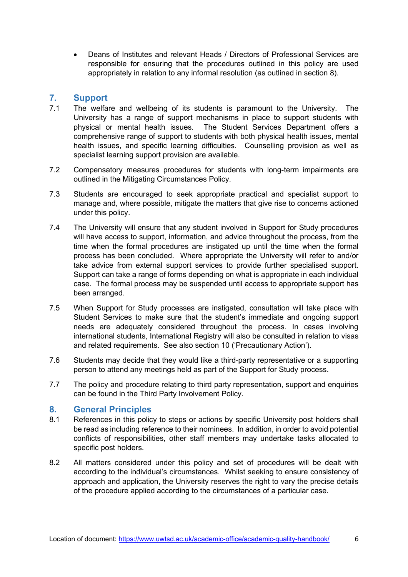• Deans of Institutes and relevant Heads / Directors of Professional Services are responsible for ensuring that the procedures outlined in this policy are used appropriately in relation to any informal resolution (as outlined in section 8).

#### **7. Support**

- 7.1 The welfare and wellbeing of its students is paramount to the University. The University has a range of support mechanisms in place to support students with physical or mental health issues. The Student Services Department offers a comprehensive range of support to students with both physical health issues, mental health issues, and specific learning difficulties. Counselling provision as well as specialist learning support provision are available.
- 7.2 Compensatory measures procedures for students with long-term impairments are outlined in the Mitigating Circumstances Policy.
- 7.3 Students are encouraged to seek appropriate practical and specialist support to manage and, where possible, mitigate the matters that give rise to concerns actioned under this policy.
- 7.4 The University will ensure that any student involved in Support for Study procedures will have access to support, information, and advice throughout the process, from the time when the formal procedures are instigated up until the time when the formal process has been concluded. Where appropriate the University will refer to and/or take advice from external support services to provide further specialised support. Support can take a range of forms depending on what is appropriate in each individual case. The formal process may be suspended until access to appropriate support has been arranged.
- 7.5 When Support for Study processes are instigated, consultation will take place with Student Services to make sure that the student's immediate and ongoing support needs are adequately considered throughout the process. In cases involving international students, International Registry will also be consulted in relation to visas and related requirements. See also section 10 ('Precautionary Action').
- 7.6 Students may decide that they would like a third-party representative or a supporting person to attend any meetings held as part of the Support for Study process.
- 7.7 The policy and procedure relating to third party representation, support and enquiries can be found in the Third Party Involvement Policy.

#### **8. General Principles**

- 8.1 References in this policy to steps or actions by specific University post holders shall be read as including reference to their nominees. In addition, in order to avoid potential conflicts of responsibilities, other staff members may undertake tasks allocated to specific post holders.
- 8.2 All matters considered under this policy and set of procedures will be dealt with according to the individual's circumstances. Whilst seeking to ensure consistency of approach and application, the University reserves the right to vary the precise details of the procedure applied according to the circumstances of a particular case.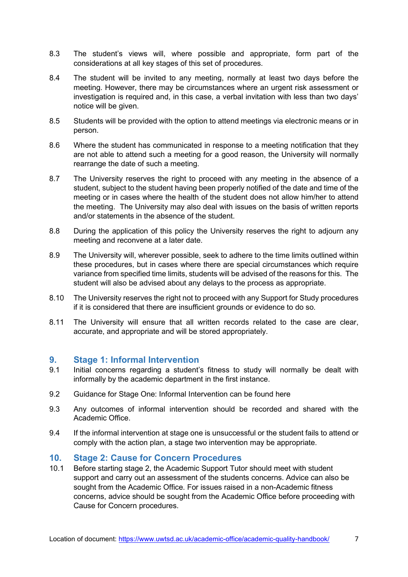- 8.3 The student's views will, where possible and appropriate, form part of the considerations at all key stages of this set of procedures.
- 8.4 The student will be invited to any meeting, normally at least two days before the meeting. However, there may be circumstances where an urgent risk assessment or investigation is required and, in this case, a verbal invitation with less than two days' notice will be given.
- 8.5 Students will be provided with the option to attend meetings via electronic means or in person.
- 8.6 Where the student has communicated in response to a meeting notification that they are not able to attend such a meeting for a good reason, the University will normally rearrange the date of such a meeting.
- 8.7 The University reserves the right to proceed with any meeting in the absence of a student, subject to the student having been properly notified of the date and time of the meeting or in cases where the health of the student does not allow him/her to attend the meeting. The University may also deal with issues on the basis of written reports and/or statements in the absence of the student.
- 8.8 During the application of this policy the University reserves the right to adjourn any meeting and reconvene at a later date.
- 8.9 The University will, wherever possible, seek to adhere to the time limits outlined within these procedures, but in cases where there are special circumstances which require variance from specified time limits, students will be advised of the reasons for this. The student will also be advised about any delays to the process as appropriate.
- 8.10 The University reserves the right not to proceed with any Support for Study procedures if it is considered that there are insufficient grounds or evidence to do so.
- 8.11 The University will ensure that all written records related to the case are clear, accurate, and appropriate and will be stored appropriately.

#### **9. Stage 1: Informal Intervention**

- 9.1 Initial concerns regarding a student's fitness to study will normally be dealt with informally by the academic department in the first instance.
- 9.2 Guidance for Stage One: Informal Intervention can be found here
- 9.3 Any outcomes of informal intervention should be recorded and shared with the Academic Office.
- 9.4 If the informal intervention at stage one is unsuccessful or the student fails to attend or comply with the action plan, a stage two intervention may be appropriate.

#### **10. Stage 2: Cause for Concern Procedures**

10.1 Before starting stage 2, the Academic Support Tutor should meet with student support and carry out an assessment of the students concerns. Advice can also be sought from the Academic Office. For issues raised in a non-Academic fitness concerns, advice should be sought from the Academic Office before proceeding with Cause for Concern procedures.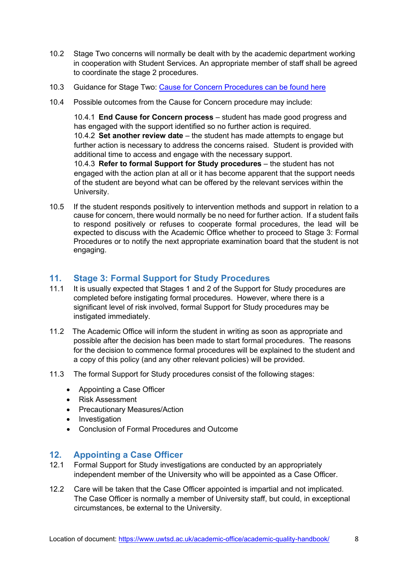- 10.2 Stage Two concerns will normally be dealt with by the academic department working in cooperation with Student Services. An appropriate member of staff shall be agreed to coordinate the stage 2 procedures.
- 10.3 Guidance for Stage Two: [Cause for Concern Procedures can be found here](https://www.uwtsd.ac.uk/media/uwtsd-website/content-assets/documents/academic-office/misc-forms/Support_for_Study_Staff_Guidance_2021-22.pdf)
- 10.4 Possible outcomes from the Cause for Concern procedure may include:

10.4.1 **End Cause for Concern process** – student has made good progress and has engaged with the support identified so no further action is required. 10.4.2 **Set another review date** – the student has made attempts to engage but further action is necessary to address the concerns raised. Student is provided with additional time to access and engage with the necessary support. 10.4.3 **Refer to formal Support for Study procedures** – the student has not engaged with the action plan at all or it has become apparent that the support needs of the student are beyond what can be offered by the relevant services within the University.

10.5 If the student responds positively to intervention methods and support in relation to a cause for concern, there would normally be no need for further action. If a student fails to respond positively or refuses to cooperate formal procedures, the lead will be expected to discuss with the Academic Office whether to proceed to Stage 3: Formal Procedures or to notify the next appropriate examination board that the student is not engaging.

#### **11. Stage 3: Formal Support for Study Procedures**

- 11.1 It is usually expected that Stages 1 and 2 of the Support for Study procedures are completed before instigating formal procedures. However, where there is a significant level of risk involved, formal Support for Study procedures may be instigated immediately.
- 11.2 The Academic Office will inform the student in writing as soon as appropriate and possible after the decision has been made to start formal procedures. The reasons for the decision to commence formal procedures will be explained to the student and a copy of this policy (and any other relevant policies) will be provided.
- 11.3 The formal Support for Study procedures consist of the following stages:
	- Appointing a Case Officer
	- Risk Assessment
	- Precautionary Measures/Action
	- Investigation
	- Conclusion of Formal Procedures and Outcome

#### **12. Appointing a Case Officer**

- 12.1 Formal Support for Study investigations are conducted by an appropriately independent member of the University who will be appointed as a Case Officer.
- 12.2 Care will be taken that the Case Officer appointed is impartial and not implicated. The Case Officer is normally a member of University staff, but could, in exceptional circumstances, be external to the University.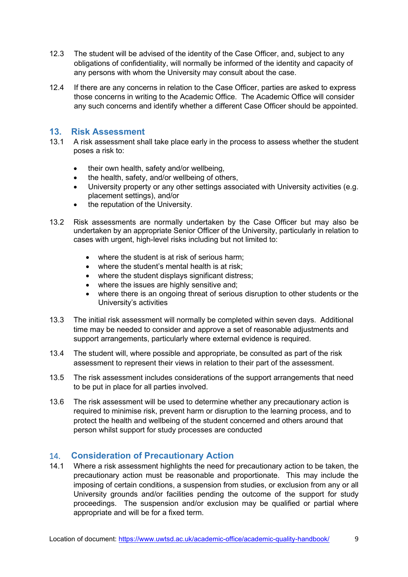- 12.3 The student will be advised of the identity of the Case Officer, and, subject to any obligations of confidentiality, will normally be informed of the identity and capacity of any persons with whom the University may consult about the case.
- 12.4 If there are any concerns in relation to the Case Officer, parties are asked to express those concerns in writing to the Academic Office. The Academic Office will consider any such concerns and identify whether a different Case Officer should be appointed.

### **13. Risk Assessment**

- A risk assessment shall take place early in the process to assess whether the student poses a risk to:
	- their own health, safety and/or wellbeing,
	- the health, safety, and/or wellbeing of others,
	- University property or any other settings associated with University activities (e.g. placement settings), and/or
	- the reputation of the University.
- 13.2 Risk assessments are normally undertaken by the Case Officer but may also be undertaken by an appropriate Senior Officer of the University, particularly in relation to cases with urgent, high-level risks including but not limited to:
	- where the student is at risk of serious harm;
	- where the student's mental health is at risk;
	- where the student displays significant distress;
	- where the issues are highly sensitive and:
	- where there is an ongoing threat of serious disruption to other students or the University's activities
- 13.3 The initial risk assessment will normally be completed within seven days. Additional time may be needed to consider and approve a set of reasonable adjustments and support arrangements, particularly where external evidence is required.
- 13.4 The student will, where possible and appropriate, be consulted as part of the risk assessment to represent their views in relation to their part of the assessment.
- 13.5 The risk assessment includes considerations of the support arrangements that need to be put in place for all parties involved.
- 13.6 The risk assessment will be used to determine whether any precautionary action is required to minimise risk, prevent harm or disruption to the learning process, and to protect the health and wellbeing of the student concerned and others around that person whilst support for study processes are conducted

#### 14. **Consideration of Precautionary Action**

14.1 Where a risk assessment highlights the need for precautionary action to be taken, the precautionary action must be reasonable and proportionate. This may include the imposing of certain conditions, a suspension from studies, or exclusion from any or all University grounds and/or facilities pending the outcome of the support for study proceedings. The suspension and/or exclusion may be qualified or partial where appropriate and will be for a fixed term.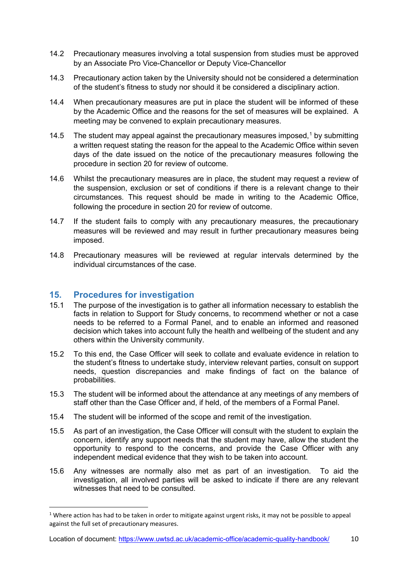- 14.2 Precautionary measures involving a total suspension from studies must be approved by an Associate Pro Vice-Chancellor or Deputy Vice-Chancellor
- 14.3 Precautionary action taken by the University should not be considered a determination of the student's fitness to study nor should it be considered a disciplinary action.
- 14.4 When precautionary measures are put in place the student will be informed of these by the Academic Office and the reasons for the set of measures will be explained. A meeting may be convened to explain precautionary measures.
- [1](#page-9-0)4.5 The student may appeal against the precautionary measures imposed.<sup>1</sup> by submitting a written request stating the reason for the appeal to the Academic Office within seven days of the date issued on the notice of the precautionary measures following the procedure in section 20 for review of outcome.
- 14.6 Whilst the precautionary measures are in place, the student may request a review of the suspension, exclusion or set of conditions if there is a relevant change to their circumstances. This request should be made in writing to the Academic Office, following the procedure in section 20 for review of outcome.
- 14.7 If the student fails to comply with any precautionary measures, the precautionary measures will be reviewed and may result in further precautionary measures being imposed.
- 14.8 Precautionary measures will be reviewed at regular intervals determined by the individual circumstances of the case.

#### **15. Procedures for investigation**

- 15.1 The purpose of the investigation is to gather all information necessary to establish the facts in relation to Support for Study concerns, to recommend whether or not a case needs to be referred to a Formal Panel, and to enable an informed and reasoned decision which takes into account fully the health and wellbeing of the student and any others within the University community.
- 15.2 To this end, the Case Officer will seek to collate and evaluate evidence in relation to the student's fitness to undertake study, interview relevant parties, consult on support needs, question discrepancies and make findings of fact on the balance of probabilities.
- 15.3 The student will be informed about the attendance at any meetings of any members of staff other than the Case Officer and, if held, of the members of a Formal Panel.
- 15.4 The student will be informed of the scope and remit of the investigation.
- 15.5 As part of an investigation, the Case Officer will consult with the student to explain the concern, identify any support needs that the student may have, allow the student the opportunity to respond to the concerns, and provide the Case Officer with any independent medical evidence that they wish to be taken into account.
- 15.6 Any witnesses are normally also met as part of an investigation. To aid the investigation, all involved parties will be asked to indicate if there are any relevant witnesses that need to be consulted.

<span id="page-9-0"></span><sup>&</sup>lt;sup>1</sup> Where action has had to be taken in order to mitigate against urgent risks, it may not be possible to appeal against the full set of precautionary measures.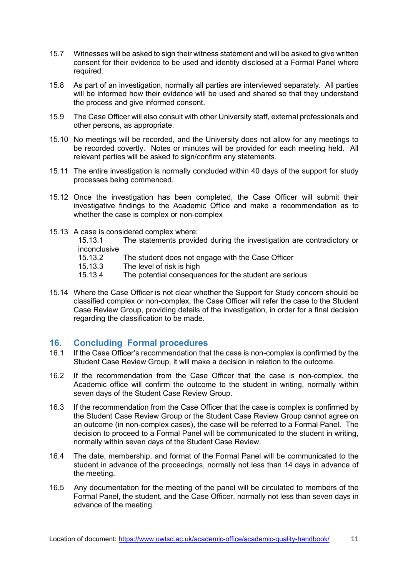- 15.7 Witnesses will be asked to sign their witness statement and will be asked to give written consent for their evidence to be used and identity disclosed at a Formal Panel where required.
- 15.8 As part of an investigation, normally all parties are interviewed separately. All parties will be informed how their evidence will be used and shared so that they understand the process and give informed consent.
- 15.9 The Case Officer will also consult with other University staff, external professionals and other persons, as appropriate.
- 15.10 No meetings will be recorded, and the University does not allow for any meetings to be recorded covertly. Notes or minutes will be provided for each meeting held. All relevant parties will be asked to sign/confirm any statements.
- 15.11 The entire investigation is normally concluded within 40 days of the support for study processes being commenced.
- 15.12 Once the investigation has been completed, the Case Officer will submit their investigative findings to the Academic Office and make a recommendation as to whether the case is complex or non-complex
- 15.13 A case is considered complex where:

15.13.1 The statements provided during the investigation are contradictory or inconclusive

- 15.13.2 The student does not engage with the Case Officer<br>15.13.3 The level of risk is high
- 15.13.3 The level of risk is high<br>15.13.4 The potential conseque
- The potential consequences for the student are serious
- 15.14 Where the Case Officer is not clear whether the Support for Study concern should be classified complex or non-complex, the Case Officer will refer the case to the Student Case Review Group, providing details of the investigation, in order for a final decision regarding the classification to be made.

#### **16. Concluding Formal procedures**

- 16.1 If the Case Officer's recommendation that the case is non-complex is confirmed by the Student Case Review Group, it will make a decision in relation to the outcome.
- 16.2 If the recommendation from the Case Officer that the case is non-complex, the Academic office will confirm the outcome to the student in writing, normally within seven days of the Student Case Review Group.
- 16.3 If the recommendation from the Case Officer that the case is complex is confirmed by the Student Case Review Group or the Student Case Review Group cannot agree on an outcome (in non-complex cases), the case will be referred to a Formal Panel. The decision to proceed to a Formal Panel will be communicated to the student in writing, normally within seven days of the Student Case Review.
- 16.4 The date, membership, and format of the Formal Panel will be communicated to the student in advance of the proceedings, normally not less than 14 days in advance of the meeting.
- 16.5 Any documentation for the meeting of the panel will be circulated to members of the Formal Panel, the student, and the Case Officer, normally not less than seven days in advance of the meeting.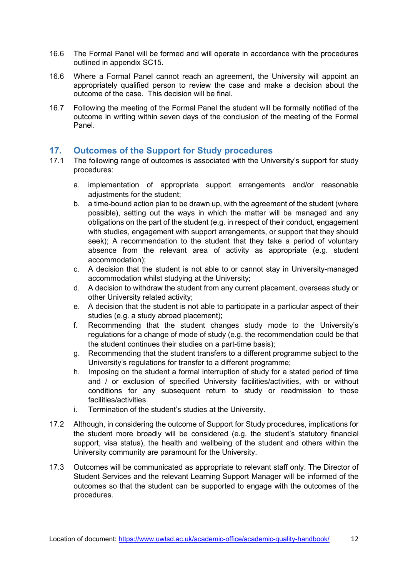- 16.6 The Formal Panel will be formed and will operate in accordance with the procedures outlined in appendix SC15.
- 16.6 Where a Formal Panel cannot reach an agreement, the University will appoint an appropriately qualified person to review the case and make a decision about the outcome of the case. This decision will be final.
- 16.7 Following the meeting of the Formal Panel the student will be formally notified of the outcome in writing within seven days of the conclusion of the meeting of the Formal Panel.

#### **17. Outcomes of the Support for Study procedures**

- 17.1 The following range of outcomes is associated with the University's support for study procedures:
	- a. implementation of appropriate support arrangements and/or reasonable adjustments for the student:
	- b. a time-bound action plan to be drawn up, with the agreement of the student (where possible), setting out the ways in which the matter will be managed and any obligations on the part of the student (e.g. in respect of their conduct, engagement with studies, engagement with support arrangements, or support that they should seek); A recommendation to the student that they take a period of voluntary absence from the relevant area of activity as appropriate (e.g. student accommodation);
	- c. A decision that the student is not able to or cannot stay in University-managed accommodation whilst studying at the University;
	- d. A decision to withdraw the student from any current placement, overseas study or other University related activity;
	- e. A decision that the student is not able to participate in a particular aspect of their studies (e.g. a study abroad placement);
	- f. Recommending that the student changes study mode to the University's regulations for a change of mode of study (e.g. the recommendation could be that the student continues their studies on a part-time basis);
	- g. Recommending that the student transfers to a different programme subject to the University's regulations for transfer to a different programme;
	- h. Imposing on the student a formal interruption of study for a stated period of time and / or exclusion of specified University facilities/activities, with or without conditions for any subsequent return to study or readmission to those facilities/activities.
	- i. Termination of the student's studies at the University.
- 17.2 Although, in considering the outcome of Support for Study procedures, implications for the student more broadly will be considered (e.g. the student's statutory financial support, visa status), the health and wellbeing of the student and others within the University community are paramount for the University.
- 17.3 Outcomes will be communicated as appropriate to relevant staff only. The Director of Student Services and the relevant Learning Support Manager will be informed of the outcomes so that the student can be supported to engage with the outcomes of the procedures.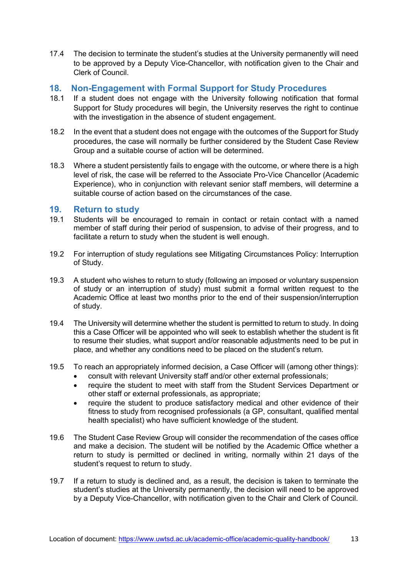17.4 The decision to terminate the student's studies at the University permanently will need to be approved by a Deputy Vice-Chancellor, with notification given to the Chair and Clerk of Council.

#### **18. Non-Engagement with Formal Support for Study Procedures**

- 18.1 If a student does not engage with the University following notification that formal Support for Study procedures will begin, the University reserves the right to continue with the investigation in the absence of student engagement.
- 18.2 In the event that a student does not engage with the outcomes of the Support for Study procedures, the case will normally be further considered by the Student Case Review Group and a suitable course of action will be determined.
- 18.3 Where a student persistently fails to engage with the outcome, or where there is a high level of risk, the case will be referred to the Associate Pro-Vice Chancellor (Academic Experience), who in conjunction with relevant senior staff members, will determine a suitable course of action based on the circumstances of the case.

#### **19. Return to study**

- 19.1 Students will be encouraged to remain in contact or retain contact with a named member of staff during their period of suspension, to advise of their progress, and to facilitate a return to study when the student is well enough.
- 19.2 For interruption of study regulations see Mitigating Circumstances Policy: Interruption of Study.
- 19.3 A student who wishes to return to study (following an imposed or voluntary suspension of study or an interruption of study) must submit a formal written request to the Academic Office at least two months prior to the end of their suspension/interruption of study.
- 19.4 The University will determine whether the student is permitted to return to study. In doing this a Case Officer will be appointed who will seek to establish whether the student is fit to resume their studies, what support and/or reasonable adjustments need to be put in place, and whether any conditions need to be placed on the student's return.
- 19.5 To reach an appropriately informed decision, a Case Officer will (among other things):
	- consult with relevant University staff and/or other external professionals;
	- require the student to meet with staff from the Student Services Department or other staff or external professionals, as appropriate;
	- require the student to produce satisfactory medical and other evidence of their fitness to study from recognised professionals (a GP, consultant, qualified mental health specialist) who have sufficient knowledge of the student.
- 19.6 The Student Case Review Group will consider the recommendation of the cases office and make a decision. The student will be notified by the Academic Office whether a return to study is permitted or declined in writing, normally within 21 days of the student's request to return to study.
- 19.7 If a return to study is declined and, as a result, the decision is taken to terminate the student's studies at the University permanently, the decision will need to be approved by a Deputy Vice-Chancellor, with notification given to the Chair and Clerk of Council.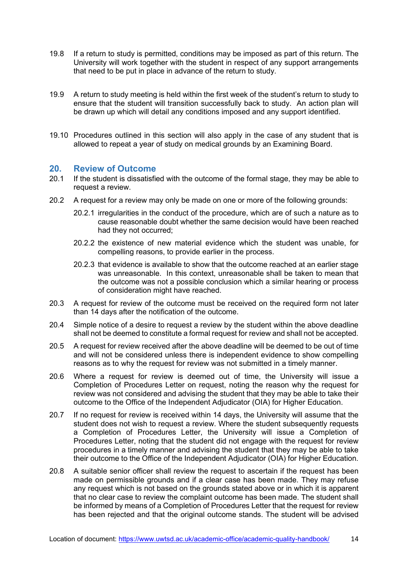- 19.8 If a return to study is permitted, conditions may be imposed as part of this return. The University will work together with the student in respect of any support arrangements that need to be put in place in advance of the return to study.
- 19.9 A return to study meeting is held within the first week of the student's return to study to ensure that the student will transition successfully back to study. An action plan will be drawn up which will detail any conditions imposed and any support identified.
- 19.10 Procedures outlined in this section will also apply in the case of any student that is allowed to repeat a year of study on medical grounds by an Examining Board.

#### **20. Review of Outcome**

- 20.1 If the student is dissatisfied with the outcome of the formal stage, they may be able to request a review.
- 20.2 A request for a review may only be made on one or more of the following grounds:
	- 20.2.1 irregularities in the conduct of the procedure, which are of such a nature as to cause reasonable doubt whether the same decision would have been reached had they not occurred;
	- 20.2.2 the existence of new material evidence which the student was unable, for compelling reasons, to provide earlier in the process.
	- 20.2.3 that evidence is available to show that the outcome reached at an earlier stage was unreasonable. In this context, unreasonable shall be taken to mean that the outcome was not a possible conclusion which a similar hearing or process of consideration might have reached.
- 20.3 A request for review of the outcome must be received on the required form not later than 14 days after the notification of the outcome.
- 20.4 Simple notice of a desire to request a review by the student within the above deadline shall not be deemed to constitute a formal request for review and shall not be accepted.
- 20.5 A request for review received after the above deadline will be deemed to be out of time and will not be considered unless there is independent evidence to show compelling reasons as to why the request for review was not submitted in a timely manner.
- 20.6 Where a request for review is deemed out of time, the University will issue a Completion of Procedures Letter on request, noting the reason why the request for review was not considered and advising the student that they may be able to take their outcome to the Office of the Independent Adjudicator (OIA) for Higher Education.
- 20.7 If no request for review is received within 14 days, the University will assume that the student does not wish to request a review. Where the student subsequently requests a Completion of Procedures Letter, the University will issue a Completion of Procedures Letter, noting that the student did not engage with the request for review procedures in a timely manner and advising the student that they may be able to take their outcome to the Office of the Independent Adjudicator (OIA) for Higher Education.
- 20.8 A suitable senior officer shall review the request to ascertain if the request has been made on permissible grounds and if a clear case has been made. They may refuse any request which is not based on the grounds stated above or in which it is apparent that no clear case to review the complaint outcome has been made. The student shall be informed by means of a Completion of Procedures Letter that the request for review has been rejected and that the original outcome stands. The student will be advised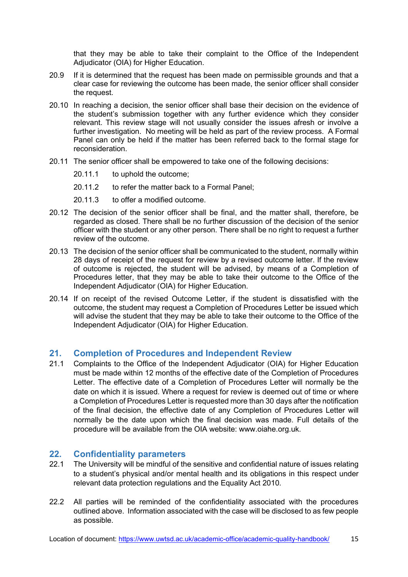that they may be able to take their complaint to the Office of the Independent Adjudicator (OIA) for Higher Education.

- 20.9 If it is determined that the request has been made on permissible grounds and that a clear case for reviewing the outcome has been made, the senior officer shall consider the request.
- 20.10 In reaching a decision, the senior officer shall base their decision on the evidence of the student's submission together with any further evidence which they consider relevant. This review stage will not usually consider the issues afresh or involve a further investigation. No meeting will be held as part of the review process. A Formal Panel can only be held if the matter has been referred back to the formal stage for reconsideration.
- 20.11 The senior officer shall be empowered to take one of the following decisions:
	- 20.11.1 to uphold the outcome;
	- 20.11.2 to refer the matter back to a Formal Panel;
	- 20.11.3 to offer a modified outcome.
- 20.12 The decision of the senior officer shall be final, and the matter shall, therefore, be regarded as closed. There shall be no further discussion of the decision of the senior officer with the student or any other person. There shall be no right to request a further review of the outcome.
- 20.13 The decision of the senior officer shall be communicated to the student, normally within 28 days of receipt of the request for review by a revised outcome letter. If the review of outcome is rejected, the student will be advised, by means of a Completion of Procedures letter, that they may be able to take their outcome to the Office of the Independent Adjudicator (OIA) for Higher Education.
- 20.14 If on receipt of the revised Outcome Letter, if the student is dissatisfied with the outcome, the student may request a Completion of Procedures Letter be issued which will advise the student that they may be able to take their outcome to the Office of the Independent Adjudicator (OIA) for Higher Education.

#### **21. Completion of Procedures and Independent Review**

21.1 Complaints to the Office of the Independent Adjudicator (OIA) for Higher Education must be made within 12 months of the effective date of the Completion of Procedures Letter. The effective date of a Completion of Procedures Letter will normally be the date on which it is issued. Where a request for review is deemed out of time or where a Completion of Procedures Letter is requested more than 30 days after the notification of the final decision, the effective date of any Completion of Procedures Letter will normally be the date upon which the final decision was made. Full details of the procedure will be available from the OIA website: [www.oiahe.org.uk.](http://www.oiahe.org.uk/)

#### **22. Confidentiality parameters**

- 22.1 The University will be mindful of the sensitive and confidential nature of issues relating to a student's physical and/or mental health and its obligations in this respect under relevant data protection regulations and the Equality Act 2010.
- 22.2 All parties will be reminded of the confidentiality associated with the procedures outlined above. Information associated with the case will be disclosed to as few people as possible.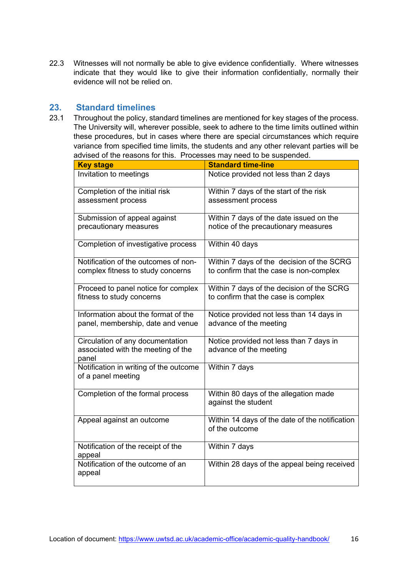22.3 Witnesses will not normally be able to give evidence confidentially. Where witnesses indicate that they would like to give their information confidentially, normally their evidence will not be relied on.

# **23. Standard timelines**

Throughout the policy, standard timelines are mentioned for key stages of the process. The University will, wherever possible, seek to adhere to the time limits outlined within these procedures, but in cases where there are special circumstances which require variance from specified time limits, the students and any other relevant parties will be advised of the reasons for this. Processes may need to be suspended.

| <b>Key stage</b>                            | <b>Standard time-line</b>                                        |  |
|---------------------------------------------|------------------------------------------------------------------|--|
| Invitation to meetings                      | Notice provided not less than 2 days                             |  |
| Completion of the initial risk              | Within 7 days of the start of the risk                           |  |
| assessment process                          | assessment process                                               |  |
| Submission of appeal against                | Within 7 days of the date issued on the                          |  |
| precautionary measures                      | notice of the precautionary measures                             |  |
| Completion of investigative process         | Within 40 days                                                   |  |
| Notification of the outcomes of non-        | Within 7 days of the decision of the SCRG                        |  |
| complex fitness to study concerns           | to confirm that the case is non-complex                          |  |
| Proceed to panel notice for complex         | Within 7 days of the decision of the SCRG                        |  |
| fitness to study concerns                   | to confirm that the case is complex                              |  |
| Information about the format of the         | Notice provided not less than 14 days in                         |  |
| panel, membership, date and venue           | advance of the meeting                                           |  |
| Circulation of any documentation            | Notice provided not less than 7 days in                          |  |
| associated with the meeting of the<br>panel | advance of the meeting                                           |  |
| Notification in writing of the outcome      | Within 7 days                                                    |  |
| of a panel meeting                          |                                                                  |  |
| Completion of the formal process            | Within 80 days of the allegation made                            |  |
|                                             | against the student                                              |  |
|                                             |                                                                  |  |
| Appeal against an outcome                   | Within 14 days of the date of the notification<br>of the outcome |  |
|                                             |                                                                  |  |
| Notification of the receipt of the          | Within 7 days                                                    |  |
| appeal<br>Notification of the outcome of an | Within 28 days of the appeal being received                      |  |
| appeal                                      |                                                                  |  |
|                                             |                                                                  |  |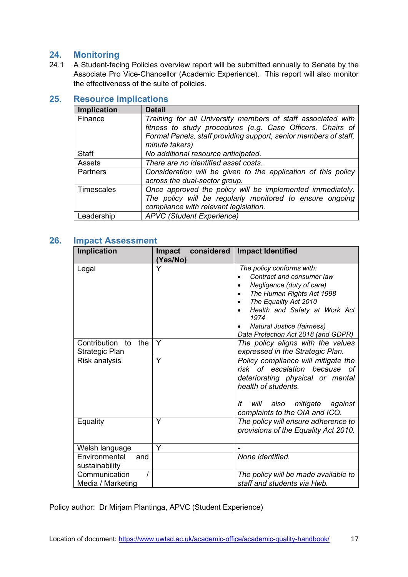# **24. Monitoring**

24.1 A Student-facing Policies overview report will be submitted annually to Senate by the Associate Pro Vice-Chancellor (Academic Experience). This report will also monitor the effectiveness of the suite of policies.

#### **25. Resource implications**

| <b>Implication</b> | <b>Detail</b>                                                                                                                                                                                                    |  |  |  |
|--------------------|------------------------------------------------------------------------------------------------------------------------------------------------------------------------------------------------------------------|--|--|--|
| Finance            | Training for all University members of staff associated with<br>fitness to study procedures (e.g. Case Officers, Chairs of<br>Formal Panels, staff providing support, senior members of staff,<br>minute takers) |  |  |  |
| <b>Staff</b>       | No additional resource anticipated.                                                                                                                                                                              |  |  |  |
| Assets             | There are no identified asset costs.                                                                                                                                                                             |  |  |  |
| Partners           | Consideration will be given to the application of this policy<br>across the dual-sector group.                                                                                                                   |  |  |  |
| Timescales         | Once approved the policy will be implemented immediately.<br>The policy will be regularly monitored to ensure ongoing<br>compliance with relevant legislation.                                                   |  |  |  |
| Leadership         | <b>APVC</b> (Student Experience)                                                                                                                                                                                 |  |  |  |

#### **26. Impact Assessment**

| Implication                                 | considered<br><b>Impact</b><br>(Yes/No) | <b>Impact Identified</b>                                                                                                                                                                                                                                |  |
|---------------------------------------------|-----------------------------------------|---------------------------------------------------------------------------------------------------------------------------------------------------------------------------------------------------------------------------------------------------------|--|
| Legal                                       | Y                                       | The policy conforms with:<br>Contract and consumer law<br>Negligence (duty of care)<br>The Human Rights Act 1998<br>The Equality Act 2010<br>Health and Safety at Work Act<br>1974<br>Natural Justice (fairness)<br>Data Protection Act 2018 (and GDPR) |  |
| Contribution<br>the<br>to<br>Strategic Plan | Y                                       | The policy aligns with the values<br>expressed in the Strategic Plan.                                                                                                                                                                                   |  |
| Risk analysis                               | Y                                       | Policy compliance will mitigate the<br>risk of escalation because<br>оf<br>deteriorating physical or mental<br>health of students.<br>mitigate against<br>It<br>will also<br>complaints to the OIA and ICO.                                             |  |
| Equality                                    | Y                                       | The policy will ensure adherence to<br>provisions of the Equality Act 2010.                                                                                                                                                                             |  |
| Welsh language                              | Y                                       |                                                                                                                                                                                                                                                         |  |
| Environmental<br>and<br>sustainability      |                                         | None identified.                                                                                                                                                                                                                                        |  |
| Communication<br>Media / Marketing          |                                         | The policy will be made available to<br>staff and students via Hwb.                                                                                                                                                                                     |  |

Policy author: Dr Mirjam Plantinga, APVC (Student Experience)